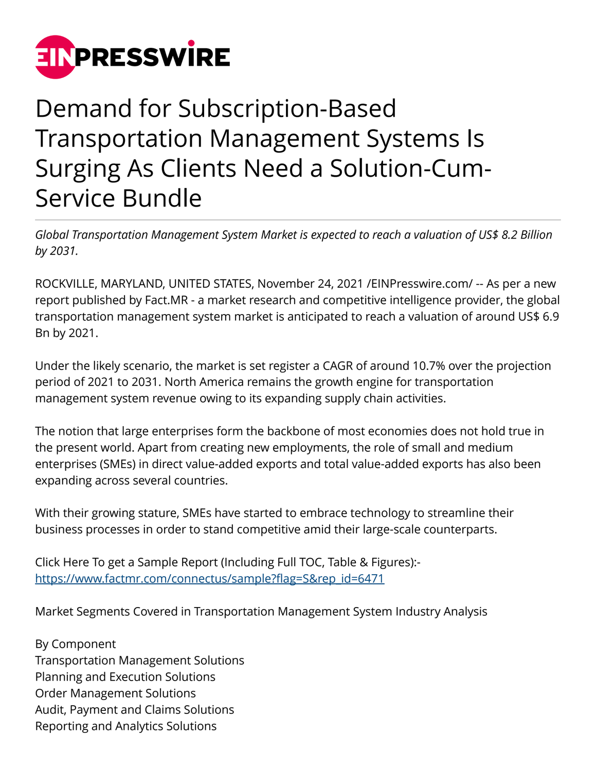

## Demand for Subscription-Based Transportation Management Systems Is Surging As Clients Need a Solution-Cum-Service Bundle

*Global Transportation Management System Market is expected to reach a valuation of US\$ 8.2 Billion by 2031.*

ROCKVILLE, MARYLAND, UNITED STATES, November 24, 2021 [/EINPresswire.com](http://www.einpresswire.com)/ -- As per a new report published by Fact.MR - a market research and competitive intelligence provider, the global transportation management system market is anticipated to reach a valuation of around US\$ 6.9 Bn by 2021.

Under the likely scenario, the market is set register a CAGR of around 10.7% over the projection period of 2021 to 2031. North America remains the growth engine for transportation management system revenue owing to its expanding supply chain activities.

The notion that large enterprises form the backbone of most economies does not hold true in the present world. Apart from creating new employments, the role of small and medium enterprises (SMEs) in direct value-added exports and total value-added exports has also been expanding across several countries.

With their growing stature, SMEs have started to embrace technology to streamline their business processes in order to stand competitive amid their large-scale counterparts.

Click Here To get a Sample Report (Including Full TOC, Table & Figures): [https://www.factmr.com/connectus/sample?flag=S&rep\\_id=6471](https://www.factmr.com/connectus/sample?flag=S&rep_id=6471)

Market Segments Covered in Transportation Management System Industry Analysis

By Component Transportation Management Solutions Planning and Execution Solutions Order Management Solutions Audit, Payment and Claims Solutions Reporting and Analytics Solutions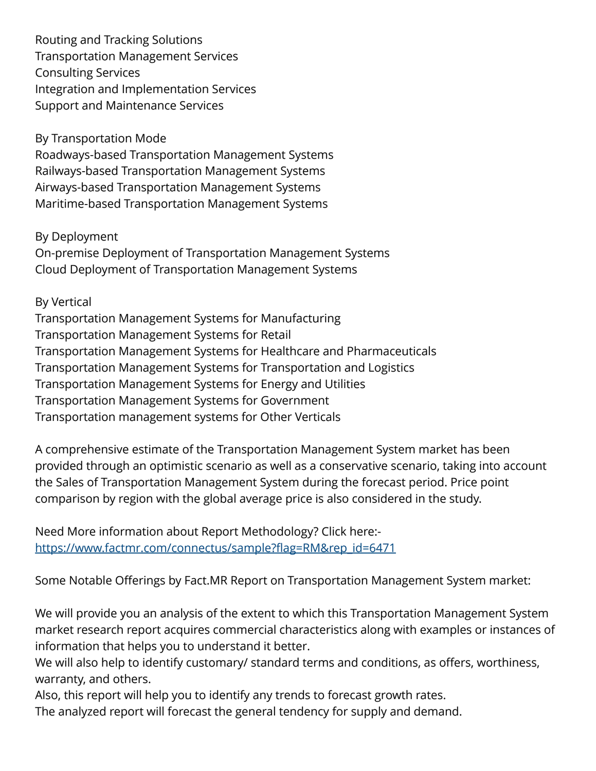Routing and Tracking Solutions Transportation Management Services Consulting Services Integration and Implementation Services Support and Maintenance Services

By Transportation Mode

Roadways-based Transportation Management Systems Railways-based Transportation Management Systems Airways-based Transportation Management Systems Maritime-based Transportation Management Systems

By Deployment

On-premise Deployment of Transportation Management Systems Cloud Deployment of Transportation Management Systems

## By Vertical

Transportation Management Systems for Manufacturing Transportation Management Systems for Retail Transportation Management Systems for Healthcare and Pharmaceuticals Transportation Management Systems for Transportation and Logistics Transportation Management Systems for Energy and Utilities Transportation Management Systems for Government Transportation management systems for Other Verticals

A comprehensive estimate of the Transportation Management System market has been provided through an optimistic scenario as well as a conservative scenario, taking into account the Sales of Transportation Management System during the forecast period. Price point comparison by region with the global average price is also considered in the study.

Need More information about Report Methodology? Click here: [https://www.factmr.com/connectus/sample?flag=RM&rep\\_id=6471](https://www.factmr.com/connectus/sample?flag=RM&rep_id=6471)

Some Notable Offerings by Fact.MR Report on Transportation Management System market:

We will provide you an analysis of the extent to which this Transportation Management System market research report acquires commercial characteristics along with examples or instances of information that helps you to understand it better.

We will also help to identify customary/ standard terms and conditions, as offers, worthiness, warranty, and others.

Also, this report will help you to identify any trends to forecast growth rates.

The analyzed report will forecast the general tendency for supply and demand.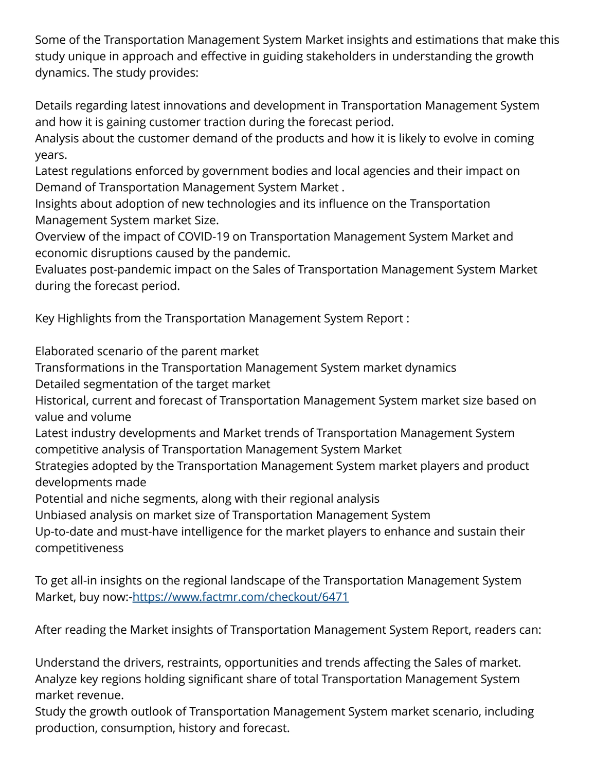Some of the Transportation Management System Market insights and estimations that make this study unique in approach and effective in guiding stakeholders in understanding the growth dynamics. The study provides:

Details regarding latest innovations and development in Transportation Management System and how it is gaining customer traction during the forecast period.

Analysis about the customer demand of the products and how it is likely to evolve in coming years.

Latest regulations enforced by government bodies and local agencies and their impact on Demand of Transportation Management System Market .

Insights about adoption of new technologies and its influence on the Transportation Management System market Size.

Overview of the impact of COVID-19 on Transportation Management System Market and economic disruptions caused by the pandemic.

Evaluates post-pandemic impact on the Sales of Transportation Management System Market during the forecast period.

Key Highlights from the Transportation Management System Report :

Elaborated scenario of the parent market

Transformations in the Transportation Management System market dynamics

Detailed segmentation of the target market

Historical, current and forecast of Transportation Management System market size based on value and volume

Latest industry developments and Market trends of Transportation Management System competitive analysis of Transportation Management System Market

Strategies adopted by the Transportation Management System market players and product developments made

Potential and niche segments, along with their regional analysis

Unbiased analysis on market size of Transportation Management System

Up-to-date and must-have intelligence for the market players to enhance and sustain their competitiveness

To get all-in insights on the regional landscape of the Transportation Management System Market, buy now:[-https://www.factmr.com/checkout/6471](https://www.factmr.com/checkout/6471)

After reading the Market insights of Transportation Management System Report, readers can:

Understand the drivers, restraints, opportunities and trends affecting the Sales of market. Analyze key regions holding significant share of total Transportation Management System market revenue.

Study the growth outlook of Transportation Management System market scenario, including production, consumption, history and forecast.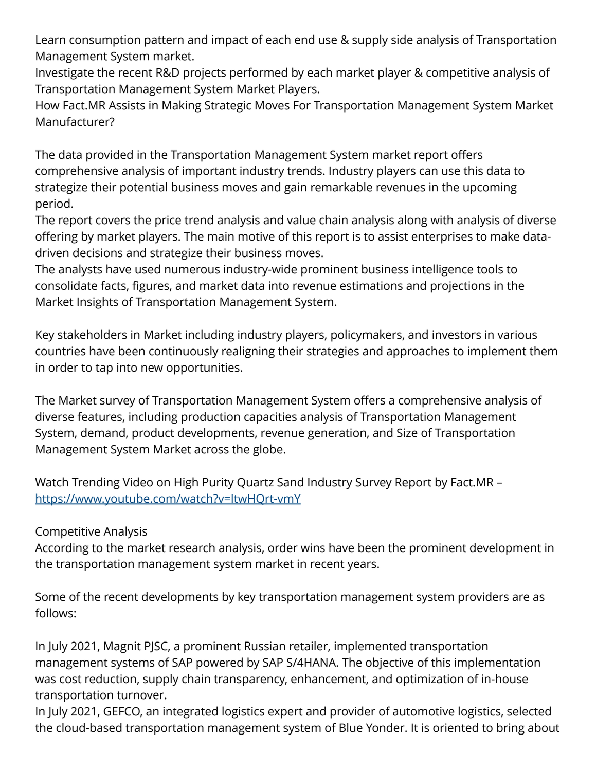Learn consumption pattern and impact of each end use & supply side analysis of Transportation Management System market.

Investigate the recent R&D projects performed by each market player & competitive analysis of Transportation Management System Market Players.

How Fact.MR Assists in Making Strategic Moves For Transportation Management System Market Manufacturer?

The data provided in the Transportation Management System market report offers comprehensive analysis of important industry trends. Industry players can use this data to strategize their potential business moves and gain remarkable revenues in the upcoming period.

The report covers the price trend analysis and value chain analysis along with analysis of diverse offering by market players. The main motive of this report is to assist enterprises to make datadriven decisions and strategize their business moves.

The analysts have used numerous industry-wide prominent business intelligence tools to consolidate facts, figures, and market data into revenue estimations and projections in the Market Insights of Transportation Management System.

Key stakeholders in Market including industry players, policymakers, and investors in various countries have been continuously realigning their strategies and approaches to implement them in order to tap into new opportunities.

The Market survey of Transportation Management System offers a comprehensive analysis of diverse features, including production capacities analysis of Transportation Management System, demand, product developments, revenue generation, and Size of Transportation Management System Market across the globe.

Watch Trending Video on High Purity Quartz Sand Industry Survey Report by Fact.MR – <https://www.youtube.com/watch?v=ItwHQrt-vmY>

Competitive Analysis

According to the market research analysis, order wins have been the prominent development in the transportation management system market in recent years.

Some of the recent developments by key transportation management system providers are as follows:

In July 2021, Magnit PJSC, a prominent Russian retailer, implemented transportation management systems of SAP powered by SAP S/4HANA. The objective of this implementation was cost reduction, supply chain transparency, enhancement, and optimization of in-house transportation turnover.

In July 2021, GEFCO, an integrated logistics expert and provider of automotive logistics, selected the cloud-based transportation management system of Blue Yonder. It is oriented to bring about